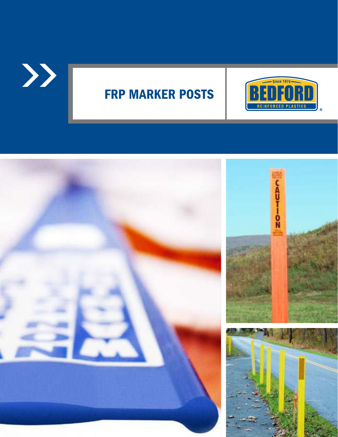

# FRP MARKER POSTS



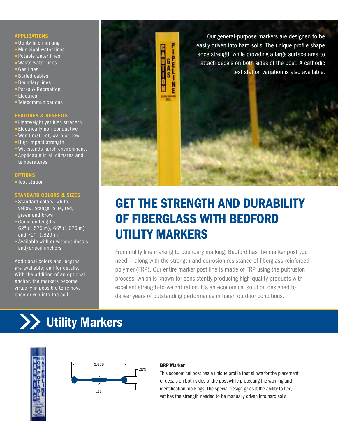### APPLICATIONS

- **Utility line marking**
- **Municipal water lines**
- **Potable water lines**
- Waste water lines
- Gas lines
- Buried cables
- **Boundary lines Parks & Recreation**
- 
- **Electrical**
- **Telecommunications**

### FEATURES & BENEFITS

- **Lightweight yet high strength**
- **Electrically non-conductive**
- Won't rust, rot, warp or bow
- **-** High impact strength
- Withstands harsh environments
- Applicable in all climates and temperatures

### **OPTIONS**

**Test station** 

### STANDARD COLORS & SIZES

- **Standard colors: white,** yellow, orange, blue, red, green and brown
- Common lengths: 62" (1.575 m), 66" (1.676 m) and 72" (1.829 m)
- **Available with or without decals** and/or soil anchors

Additional colors and lengths are available; call for details. With the addition of an optional anchor, the markers become virtually impossible to remove once driven into the soil.



## GET THE STRENGTH AND DURABILITY OF FIBERGLASS WITH BEDFORD UTILITY MARKERS

From utility line marking to boundary marking, Bedford has the marker post you need — along with the strength and corrosion resistance of fiberglass-reinforced polymer (FRP). Our entire marker post line is made of FRP using the pultrusion process, which is known for consistently producing high-quality products with excellent strength-to-weight ratios. It's an economical solution designed to deliver years of outstanding performance in harsh outdoor conditions.

# **XX** Utility Markers





### BRP Marker

This economical post has a unique profile that allows for the placement of decals on both sides of the post while protecting the warning and identification markings. The special design gives it the ability to flex, yet has the strength needed to be manually driven into hard soils.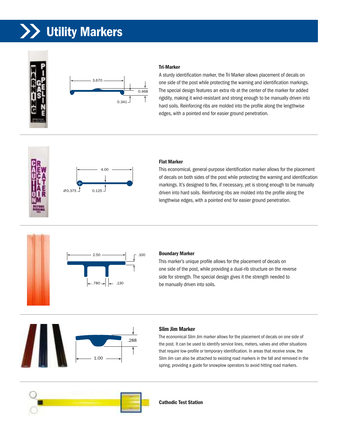# Utility Markers



### Tri-Marker

A sturdy identification marker, the Tri Marker allows placement of decals on one side of the post while protecting the warning and identification markings. The special design features an extra rib at the center of the marker for added rigidity, making it wind-resistant and strong enough to be manually driven into hard soils. Reinforcing ribs are molded into the profile along the lengthwise edges, with a pointed end for easier ground penetration.



### Flat Marker

This economical, general-purpose identification marker allows for the placement of decals on both sides of the post while protecting the warning and identification markings. It's designed to flex, if necessary, yet is strong enough to be manually driven into hard soils. Reinforcing ribs are molded into the profile along the lengthwise edges, with a pointed end for easier ground penetration.



### Boundary Marker

This marker's unique profile allows for the placement of decals on one side of the post, while providing a dual-rib structure on the reverse side for strength. The special design gives it the strength needed to be manually driven into soils.



### Slim Jim Marker

The economical Slim Jim marker allows for the placement of decals on one side of the post. It can be used to identify service lines, meters, valves and other situations that require low-profile or temporary identification. In areas that receive snow, the Slim Jim can also be attached to existing road markers in the fall and removed in the spring, providing a guide for snowplow operators to avoid hitting road markers.



Cathodic Test Station